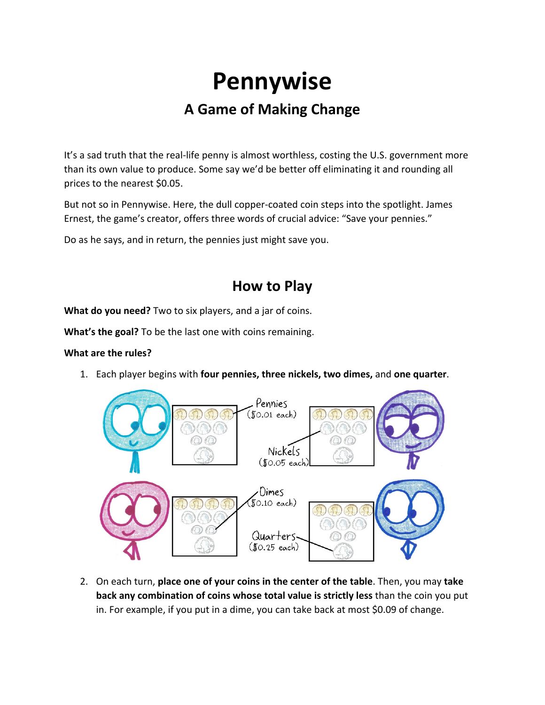# **Pennywise**

# **A Game of Making Change**

It's a sad truth that the real-life penny is almost worthless, costing the U.S. government more than its own value to produce. Some say we'd be better off eliminating it and rounding all prices to the nearest \$0.05.

But not so in Pennywise. Here, the dull copper‐coated coin steps into the spotlight. James Ernest, the game's creator, offers three words of crucial advice: "Save your pennies."

Do as he says, and in return, the pennies just might save you.

### **How to Play**

**What do you need?** Two to six players, and a jar of coins.

**What's the goal?** To be the last one with coins remaining.

#### **What are the rules?**

1. Each player begins with **four pennies, three nickels, two dimes,** and **one quarter**.



2. On each turn, **place one of your coins in the center of the table**. Then, you may **take back any combination of coins whose total value is strictly less** than the coin you put in. For example, if you put in a dime, you can take back at most \$0.09 of change.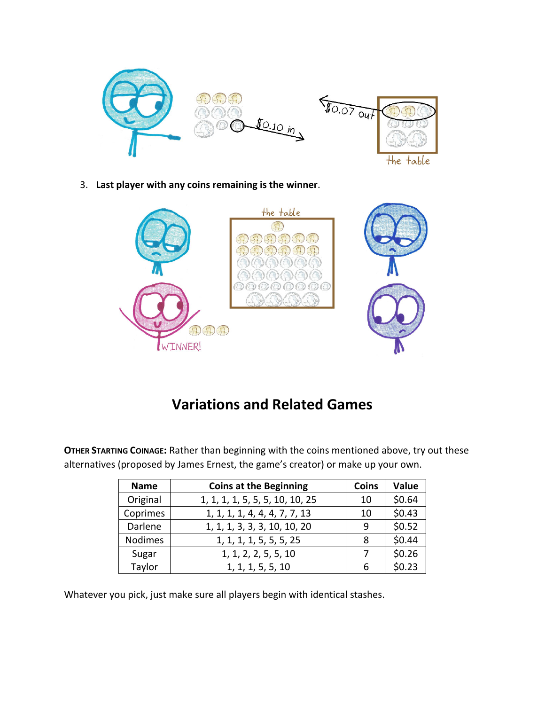

3. **Last player with any coins remaining is the winner**.



# **Variations and Related Games**

| <b>Name</b>    | <b>Coins at the Beginning</b>   | <b>Coins</b> | Value  |
|----------------|---------------------------------|--------------|--------|
| Original       | 1, 1, 1, 1, 5, 5, 5, 10, 10, 25 | 10           | \$0.64 |
| Coprimes       | 1, 1, 1, 1, 4, 4, 4, 7, 7, 13   | 10           | \$0.43 |
| Darlene        | 1, 1, 1, 3, 3, 3, 10, 10, 20    | 9            | \$0.52 |
| <b>Nodimes</b> | 1, 1, 1, 1, 5, 5, 5, 25         | 8            | \$0.44 |
| Sugar          | 1, 1, 2, 2, 5, 5, 10            |              | \$0.26 |
| Taylor         | 1, 1, 1, 5, 5, 10               | 6            | \$0.23 |

**OTHER STARTING COINAGE:** Rather than beginning with the coins mentioned above, try out these alternatives (proposed by James Ernest, the game's creator) or make up your own.

Whatever you pick, just make sure all players begin with identical stashes.